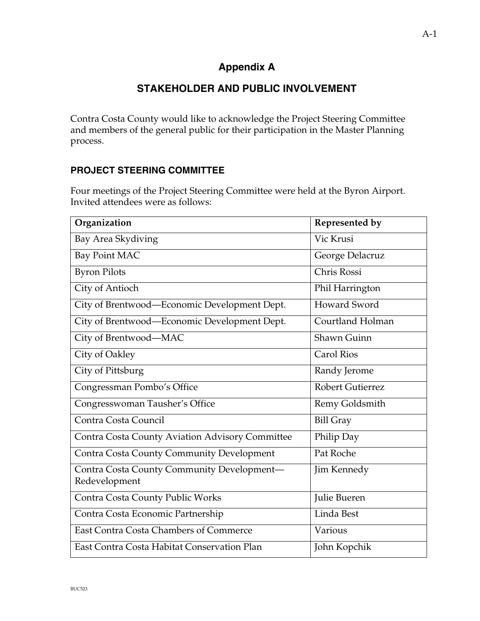# **Appendix A**

## **STAKEHOLDER AND PUBLIC INVOLVEMENT**

Contra Costa County would like to acknowledge the Project Steering Committee and members of the general public for their participation in the Master Planning process.

## **PROJECT STEERING COMMITTEE**

Four meetings of the Project Steering Committee were held at the Byron Airport. Invited attendees were as follows:

| Organization                                                | Represented by          |
|-------------------------------------------------------------|-------------------------|
| Bay Area Skydiving                                          | Vic Krusi               |
| <b>Bay Point MAC</b>                                        | George Delacruz         |
| <b>Byron Pilots</b>                                         | Chris Rossi             |
| City of Antioch                                             | Phil Harrington         |
| City of Brentwood-Economic Development Dept.                | <b>Howard Sword</b>     |
| City of Brentwood-Economic Development Dept.                | Courtland Holman        |
| City of Brentwood-MAC                                       | Shawn Guinn             |
| City of Oakley                                              | <b>Carol Rios</b>       |
| City of Pittsburg                                           | Randy Jerome            |
| Congressman Pombo's Office                                  | <b>Robert Gutierrez</b> |
| Congresswoman Tausher's Office                              | Remy Goldsmith          |
| Contra Costa Council                                        | <b>Bill Gray</b>        |
| Contra Costa County Aviation Advisory Committee             | Philip Day              |
| <b>Contra Costa County Community Development</b>            | Pat Roche               |
| Contra Costa County Community Development-<br>Redevelopment | Jim Kennedy             |
| Contra Costa County Public Works                            | Julie Bueren            |
| Contra Costa Economic Partnership                           | Linda Best              |
| <b>East Contra Costa Chambers of Commerce</b>               | Various                 |
| East Contra Costa Habitat Conservation Plan                 | John Kopchik            |